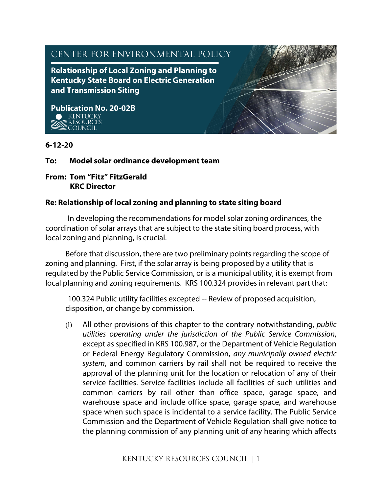

## **6-12-20**

## **To: Model solar ordinance development team**

### **From: Tom "Fitz" FitzGerald KRC Director**

## **Re: Relationship of local zoning and planning to state siting board**

In developing the recommendations for model solar zoning ordinances, the coordination of solar arrays that are subject to the state siting board process, with local zoning and planning, is crucial.

Before that discussion, there are two preliminary points regarding the scope of zoning and planning. First, if the solar array is being proposed by a utility that is regulated by the Public Service Commission, or is a municipal utility, it is exempt from local planning and zoning requirements. KRS 100.324 provides in relevant part that:

100.324 Public utility facilities excepted -- Review of proposed acquisition, disposition, or change by commission.

(1) All other provisions of this chapter to the contrary notwithstanding, *public utilities operating under the jurisdiction of the Public Service Commission*, except as specified in KRS 100.987, or the Department of Vehicle Regulation or Federal Energy Regulatory Commission, *any municipally owned electric system*, and common carriers by rail shall not be required to receive the approval of the planning unit for the location or relocation of any of their service facilities. Service facilities include all facilities of such utilities and common carriers by rail other than office space, garage space, and warehouse space and include office space, garage space, and warehouse space when such space is incidental to a service facility. The Public Service Commission and the Department of Vehicle Regulation shall give notice to the planning commission of any planning unit of any hearing which affects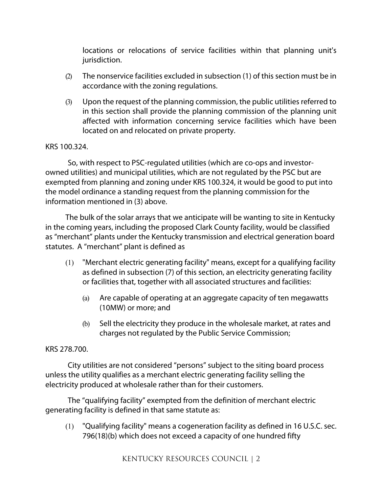locations or relocations of service facilities within that planning unit's jurisdiction.

- (2) The nonservice facilities excluded in subsection (1) of this section must be in accordance with the zoning regulations.
- (3) Upon the request of the planning commission, the public utilities referred to in this section shall provide the planning commission of the planning unit affected with information concerning service facilities which have been located on and relocated on private property.

## KRS 100.324.

So, with respect to PSC-regulated utilities (which are co-ops and investorowned utilities) and municipal utilities, which are not regulated by the PSC but are exempted from planning and zoning under KRS 100.324, it would be good to put into the model ordinance a standing request from the planning commission for the information mentioned in (3) above.

The bulk of the solar arrays that we anticipate will be wanting to site in Kentucky in the coming years, including the proposed Clark County facility, would be classified as "merchant" plants under the Kentucky transmission and electrical generation board statutes. A "merchant" plant is defined as

- (1) "Merchant electric generating facility" means, except for a qualifying facility as defined in subsection (7) of this section, an electricity generating facility or facilities that, together with all associated structures and facilities:
	- (a) Are capable of operating at an aggregate capacity of ten megawatts (10MW) or more; and
	- (b) Sell the electricity they produce in the wholesale market, at rates and charges not regulated by the Public Service Commission;

### KRS 278.700.

City utilities are not considered "persons" subject to the siting board process unless the utility qualifies as a merchant electric generating facility selling the electricity produced at wholesale rather than for their customers.

The "qualifying facility" exempted from the definition of merchant electric generating facility is defined in that same statute as:

(1) "Qualifying facility" means a cogeneration facility as defined in 16 U.S.C. sec. 796(18)(b) which does not exceed a capacity of one hundred fifty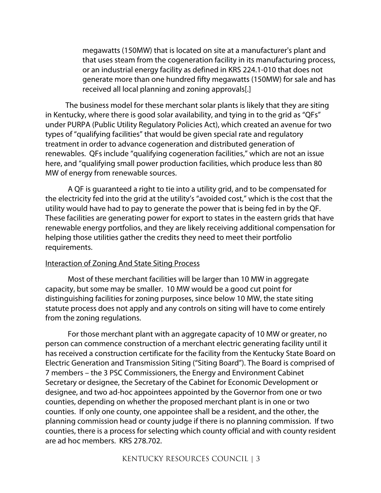megawatts (150MW) that is located on site at a manufacturer's plant and that uses steam from the cogeneration facility in its manufacturing process, or an industrial energy facility as defined in KRS 224.1-010 that does not generate more than one hundred fifty megawatts (150MW) for sale and has received all local planning and zoning approvals[.]

The business model for these merchant solar plants is likely that they are siting in Kentucky, where there is good solar availability, and tying in to the grid as "QFs" under PURPA (Public Utility Regulatory Policies Act), which created an avenue for two types of "qualifying facilities" that would be given special rate and regulatory treatment in order to advance cogeneration and distributed generation of renewables. QFs include "qualifying cogeneration facilities," which are not an issue here, and "qualifying small power production facilities, which produce less than 80 MW of energy from renewable sources.

A QF is guaranteed a right to tie into a utility grid, and to be compensated for the electricity fed into the grid at the utility's "avoided cost," which is the cost that the utility would have had to pay to generate the power that is being fed in by the QF. These facilities are generating power for export to states in the eastern grids that have renewable energy portfolios, and they are likely receiving additional compensation for helping those utilities gather the credits they need to meet their portfolio requirements.

#### Interaction of Zoning And State Siting Process

Most of these merchant facilities will be larger than 10 MW in aggregate capacity, but some may be smaller. 10 MW would be a good cut point for distinguishing facilities for zoning purposes, since below 10 MW, the state siting statute process does not apply and any controls on siting will have to come entirely from the zoning regulations.

For those merchant plant with an aggregate capacity of 10 MW or greater, no person can commence construction of a merchant electric generating facility until it has received a construction certificate for the facility from the Kentucky State Board on Electric Generation and Transmission Siting ("Siting Board"). The Board is comprised of 7 members – the 3 PSC Commissioners, the Energy and Environment Cabinet Secretary or designee, the Secretary of the Cabinet for Economic Development or designee, and two ad-hoc appointees appointed by the Governor from one or two counties, depending on whether the proposed merchant plant is in one or two counties. If only one county, one appointee shall be a resident, and the other, the planning commission head or county judge if there is no planning commission. If two counties, there is a process for selecting which county official and with county resident are ad hoc members. KRS 278.702.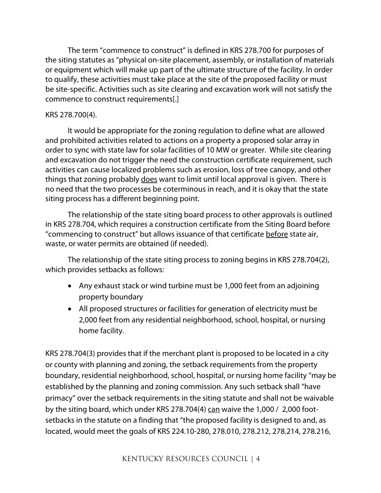The term "commence to construct" is defined in KRS 278.700 for purposes of the siting statutes as "physical on-site placement, assembly, or installation of materials or equipment which will make up part of the ultimate structure of the facility. In order to qualify, these activities must take place at the site of the proposed facility or must be site-specific. Activities such as site clearing and excavation work will not satisfy the commence to construct requirements[.]

### KRS 278.700(4).

It would be appropriate for the zoning regulation to define what are allowed and prohibited activities related to actions on a property a proposed solar array in order to sync with state law for solar facilities of 10 MW or greater. While site clearing and excavation do not trigger the need the construction certificate requirement, such activities can cause localized problems such as erosion, loss of tree canopy, and other things that zoning probably does want to limit until local approval is given. There is no need that the two processes be coterminous in reach, and it is okay that the state siting process has a different beginning point.

The relationship of the state siting board process to other approvals is outlined in KRS 278.704, which requires a construction certificate from the Siting Board before "commencing to construct" but allows issuance of that certificate before state air, waste, or water permits are obtained (if needed).

The relationship of the state siting process to zoning begins in KRS 278.704(2), which provides setbacks as follows:

- Any exhaust stack or wind turbine must be 1,000 feet from an adjoining property boundary
- All proposed structures or facilities for generation of electricity must be 2,000 feet from any residential neighborhood, school, hospital, or nursing home facility.

KRS 278.704(3) provides that if the merchant plant is proposed to be located in a city or county with planning and zoning, the setback requirements from the property boundary, residential neighborhood, school, hospital, or nursing home facility "may be established by the planning and zoning commission. Any such setback shall "have primacy" over the setback requirements in the siting statute and shall not be waivable by the siting board, which under KRS 278.704(4) can waive the  $1,000 / 2,000$  footsetbacks in the statute on a finding that "the proposed facility is designed to and, as located, would meet the goals of KRS 224.10-280, 278.010, 278.212, 278.214, 278.216,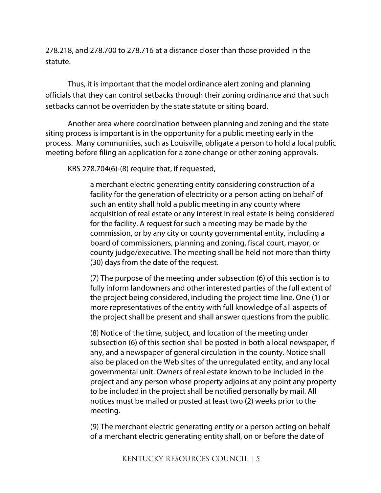278.218, and 278.700 to 278.716 at a distance closer than those provided in the statute.

Thus, it is important that the model ordinance alert zoning and planning officials that they can control setbacks through their zoning ordinance and that such setbacks cannot be overridden by the state statute or siting board.

Another area where coordination between planning and zoning and the state siting process is important is in the opportunity for a public meeting early in the process. Many communities, such as Louisville, obligate a person to hold a local public meeting before filing an application for a zone change or other zoning approvals.

KRS 278.704(6)-(8) require that, if requested,

a merchant electric generating entity considering construction of a facility for the generation of electricity or a person acting on behalf of such an entity shall hold a public meeting in any county where acquisition of real estate or any interest in real estate is being considered for the facility. A request for such a meeting may be made by the commission, or by any city or county governmental entity, including a board of commissioners, planning and zoning, fiscal court, mayor, or county judge/executive. The meeting shall be held not more than thirty (30) days from the date of the request.

(7) The purpose of the meeting under subsection (6) of this section is to fully inform landowners and other interested parties of the full extent of the project being considered, including the project time line. One (1) or more representatives of the entity with full knowledge of all aspects of the project shall be present and shall answer questions from the public.

(8) Notice of the time, subject, and location of the meeting under subsection (6) of this section shall be posted in both a local newspaper, if any, and a newspaper of general circulation in the county. Notice shall also be placed on the Web sites of the unregulated entity, and any local governmental unit. Owners of real estate known to be included in the project and any person whose property adjoins at any point any property to be included in the project shall be notified personally by mail. All notices must be mailed or posted at least two (2) weeks prior to the meeting.

(9) The merchant electric generating entity or a person acting on behalf of a merchant electric generating entity shall, on or before the date of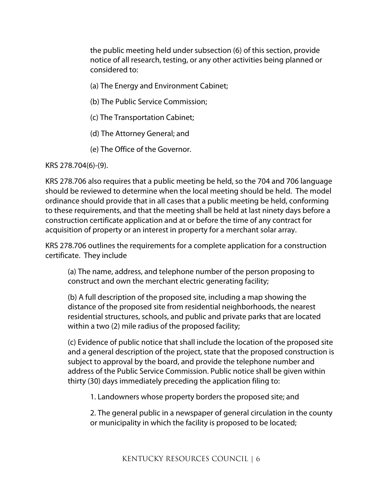the public meeting held under subsection (6) of this section, provide notice of all research, testing, or any other activities being planned or considered to:

(a) The Energy and Environment Cabinet;

- (b) The Public Service Commission;
- (c) The Transportation Cabinet;
- (d) The Attorney General; and
- (e) The Office of the Governor.

KRS 278.704(6)-(9).

KRS 278.706 also requires that a public meeting be held, so the 704 and 706 language should be reviewed to determine when the local meeting should be held. The model ordinance should provide that in all cases that a public meeting be held, conforming to these requirements, and that the meeting shall be held at last ninety days before a construction certificate application and at or before the time of any contract for acquisition of property or an interest in property for a merchant solar array.

KRS 278.706 outlines the requirements for a complete application for a construction certificate. They include

(a) The name, address, and telephone number of the person proposing to construct and own the merchant electric generating facility;

(b) A full description of the proposed site, including a map showing the distance of the proposed site from residential neighborhoods, the nearest residential structures, schools, and public and private parks that are located within a two (2) mile radius of the proposed facility;

(c) Evidence of public notice that shall include the location of the proposed site and a general description of the project, state that the proposed construction is subject to approval by the board, and provide the telephone number and address of the Public Service Commission. Public notice shall be given within thirty (30) days immediately preceding the application filing to:

1. Landowners whose property borders the proposed site; and

2. The general public in a newspaper of general circulation in the county or municipality in which the facility is proposed to be located;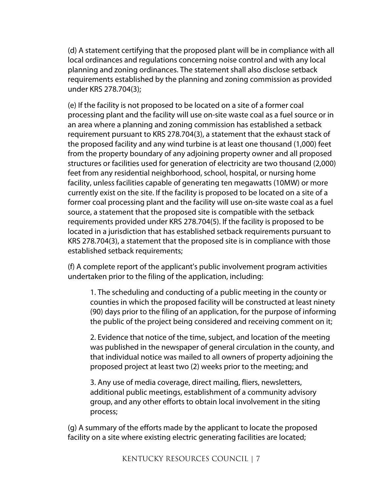(d) A statement certifying that the proposed plant will be in compliance with all local ordinances and regulations concerning noise control and with any local planning and zoning ordinances. The statement shall also disclose setback requirements established by the planning and zoning commission as provided under KRS 278.704(3);

(e) If the facility is not proposed to be located on a site of a former coal processing plant and the facility will use on-site waste coal as a fuel source or in an area where a planning and zoning commission has established a setback requirement pursuant to KRS 278.704(3), a statement that the exhaust stack of the proposed facility and any wind turbine is at least one thousand (1,000) feet from the property boundary of any adjoining property owner and all proposed structures or facilities used for generation of electricity are two thousand (2,000) feet from any residential neighborhood, school, hospital, or nursing home facility, unless facilities capable of generating ten megawatts (10MW) or more currently exist on the site. If the facility is proposed to be located on a site of a former coal processing plant and the facility will use on-site waste coal as a fuel source, a statement that the proposed site is compatible with the setback requirements provided under KRS 278.704(5). If the facility is proposed to be located in a jurisdiction that has established setback requirements pursuant to KRS 278.704(3), a statement that the proposed site is in compliance with those established setback requirements;

(f) A complete report of the applicant's public involvement program activities undertaken prior to the filing of the application, including:

1. The scheduling and conducting of a public meeting in the county or counties in which the proposed facility will be constructed at least ninety (90) days prior to the filing of an application, for the purpose of informing the public of the project being considered and receiving comment on it;

2. Evidence that notice of the time, subject, and location of the meeting was published in the newspaper of general circulation in the county, and that individual notice was mailed to all owners of property adjoining the proposed project at least two (2) weeks prior to the meeting; and

3. Any use of media coverage, direct mailing, fliers, newsletters, additional public meetings, establishment of a community advisory group, and any other efforts to obtain local involvement in the siting process;

(g) A summary of the efforts made by the applicant to locate the proposed facility on a site where existing electric generating facilities are located;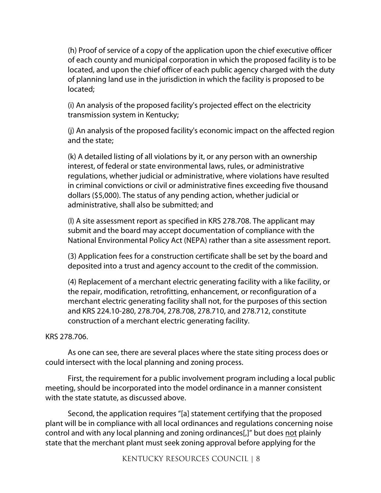(h) Proof of service of a copy of the application upon the chief executive officer of each county and municipal corporation in which the proposed facility is to be located, and upon the chief officer of each public agency charged with the duty of planning land use in the jurisdiction in which the facility is proposed to be located;

(i) An analysis of the proposed facility's projected effect on the electricity transmission system in Kentucky;

(j) An analysis of the proposed facility's economic impact on the affected region and the state;

(k) A detailed listing of all violations by it, or any person with an ownership interest, of federal or state environmental laws, rules, or administrative regulations, whether judicial or administrative, where violations have resulted in criminal convictions or civil or administrative fines exceeding five thousand dollars (\$5,000). The status of any pending action, whether judicial or administrative, shall also be submitted; and

(l) A site assessment report as specified in KRS 278.708. The applicant may submit and the board may accept documentation of compliance with the National Environmental Policy Act (NEPA) rather than a site assessment report.

(3) Application fees for a construction certificate shall be set by the board and deposited into a trust and agency account to the credit of the commission.

(4) Replacement of a merchant electric generating facility with a like facility, or the repair, modification, retrofitting, enhancement, or reconfiguration of a merchant electric generating facility shall not, for the purposes of this section and KRS 224.10-280, 278.704, 278.708, 278.710, and 278.712, constitute construction of a merchant electric generating facility.

### KRS 278.706.

As one can see, there are several places where the state siting process does or could intersect with the local planning and zoning process.

First, the requirement for a public involvement program including a local public meeting, should be incorporated into the model ordinance in a manner consistent with the state statute, as discussed above.

Second, the application requires "[a] statement certifying that the proposed plant will be in compliance with all local ordinances and regulations concerning noise control and with any local planning and zoning ordinances[,]" but does not plainly state that the merchant plant must seek zoning approval before applying for the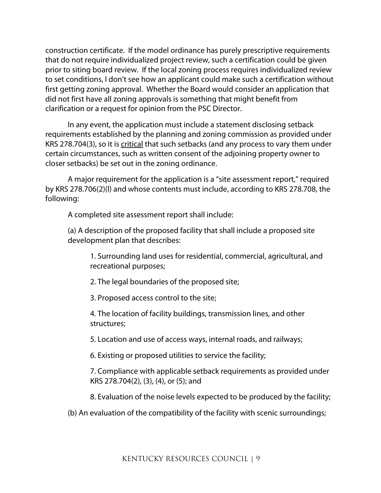construction certificate. If the model ordinance has purely prescriptive requirements that do not require individualized project review, such a certification could be given prior to siting board review. If the local zoning process requires individualized review to set conditions, I don't see how an applicant could make such a certification without first getting zoning approval. Whether the Board would consider an application that did not first have all zoning approvals is something that might benefit from clarification or a request for opinion from the PSC Director.

In any event, the application must include a statement disclosing setback requirements established by the planning and zoning commission as provided under KRS 278.704(3), so it is critical that such setbacks (and any process to vary them under certain circumstances, such as written consent of the adjoining property owner to closer setbacks) be set out in the zoning ordinance.

A major requirement for the application is a "site assessment report," required by KRS 278.706(2)(l) and whose contents must include, according to KRS 278.708, the following:

A completed site assessment report shall include:

(a) A description of the proposed facility that shall include a proposed site development plan that describes:

1. Surrounding land uses for residential, commercial, agricultural, and recreational purposes;

2. The legal boundaries of the proposed site;

3. Proposed access control to the site;

4. The location of facility buildings, transmission lines, and other structures;

5. Location and use of access ways, internal roads, and railways;

6. Existing or proposed utilities to service the facility;

7. Compliance with applicable setback requirements as provided under KRS 278.704(2), (3), (4), or (5); and

8. Evaluation of the noise levels expected to be produced by the facility;

(b) An evaluation of the compatibility of the facility with scenic surroundings;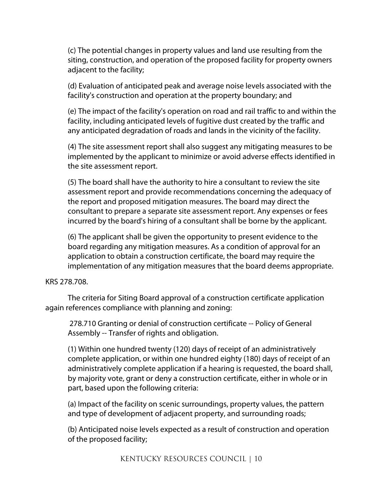(c) The potential changes in property values and land use resulting from the siting, construction, and operation of the proposed facility for property owners adjacent to the facility;

(d) Evaluation of anticipated peak and average noise levels associated with the facility's construction and operation at the property boundary; and

(e) The impact of the facility's operation on road and rail traffic to and within the facility, including anticipated levels of fugitive dust created by the traffic and any anticipated degradation of roads and lands in the vicinity of the facility.

(4) The site assessment report shall also suggest any mitigating measures to be implemented by the applicant to minimize or avoid adverse effects identified in the site assessment report.

(5) The board shall have the authority to hire a consultant to review the site assessment report and provide recommendations concerning the adequacy of the report and proposed mitigation measures. The board may direct the consultant to prepare a separate site assessment report. Any expenses or fees incurred by the board's hiring of a consultant shall be borne by the applicant.

(6) The applicant shall be given the opportunity to present evidence to the board regarding any mitigation measures. As a condition of approval for an application to obtain a construction certificate, the board may require the implementation of any mitigation measures that the board deems appropriate.

#### KRS 278.708.

The criteria for Siting Board approval of a construction certificate application again references compliance with planning and zoning:

278.710 Granting or denial of construction certificate -- Policy of General Assembly -- Transfer of rights and obligation.

(1) Within one hundred twenty (120) days of receipt of an administratively complete application, or within one hundred eighty (180) days of receipt of an administratively complete application if a hearing is requested, the board shall, by majority vote, grant or deny a construction certificate, either in whole or in part, based upon the following criteria:

(a) Impact of the facility on scenic surroundings, property values, the pattern and type of development of adjacent property, and surrounding roads;

(b) Anticipated noise levels expected as a result of construction and operation of the proposed facility;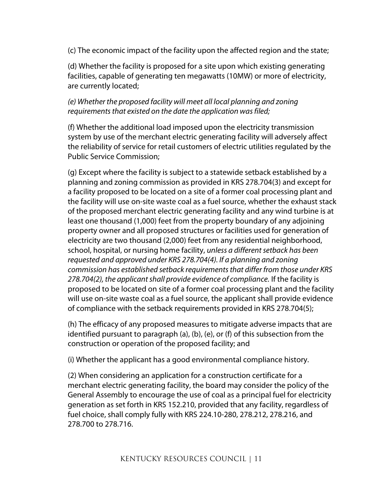(c) The economic impact of the facility upon the affected region and the state;

(d) Whether the facility is proposed for a site upon which existing generating facilities, capable of generating ten megawatts (10MW) or more of electricity, are currently located;

# *(e) Whether the proposed facility will meet all local planning and zoning requirements that existed on the date the application was filed;*

(f) Whether the additional load imposed upon the electricity transmission system by use of the merchant electric generating facility will adversely affect the reliability of service for retail customers of electric utilities regulated by the Public Service Commission;

(g) Except where the facility is subject to a statewide setback established by a planning and zoning commission as provided in KRS 278.704(3) and except for a facility proposed to be located on a site of a former coal processing plant and the facility will use on-site waste coal as a fuel source, whether the exhaust stack of the proposed merchant electric generating facility and any wind turbine is at least one thousand (1,000) feet from the property boundary of any adjoining property owner and all proposed structures or facilities used for generation of electricity are two thousand (2,000) feet from any residential neighborhood, school, hospital, or nursing home facility, *unless a different setback has been requested and approved under KRS 278.704(4). If a planning and zoning commission has established setback requirements that differ from those under KRS 278.704(2), the applicant shall provide evidence of compliance.* If the facility is proposed to be located on site of a former coal processing plant and the facility will use on-site waste coal as a fuel source, the applicant shall provide evidence of compliance with the setback requirements provided in KRS 278.704(5);

(h) The efficacy of any proposed measures to mitigate adverse impacts that are identified pursuant to paragraph (a), (b), (e), or (f) of this subsection from the construction or operation of the proposed facility; and

(i) Whether the applicant has a good environmental compliance history.

(2) When considering an application for a construction certificate for a merchant electric generating facility, the board may consider the policy of the General Assembly to encourage the use of coal as a principal fuel for electricity generation as set forth in KRS 152.210, provided that any facility, regardless of fuel choice, shall comply fully with KRS 224.10-280, 278.212, 278.216, and 278.700 to 278.716.